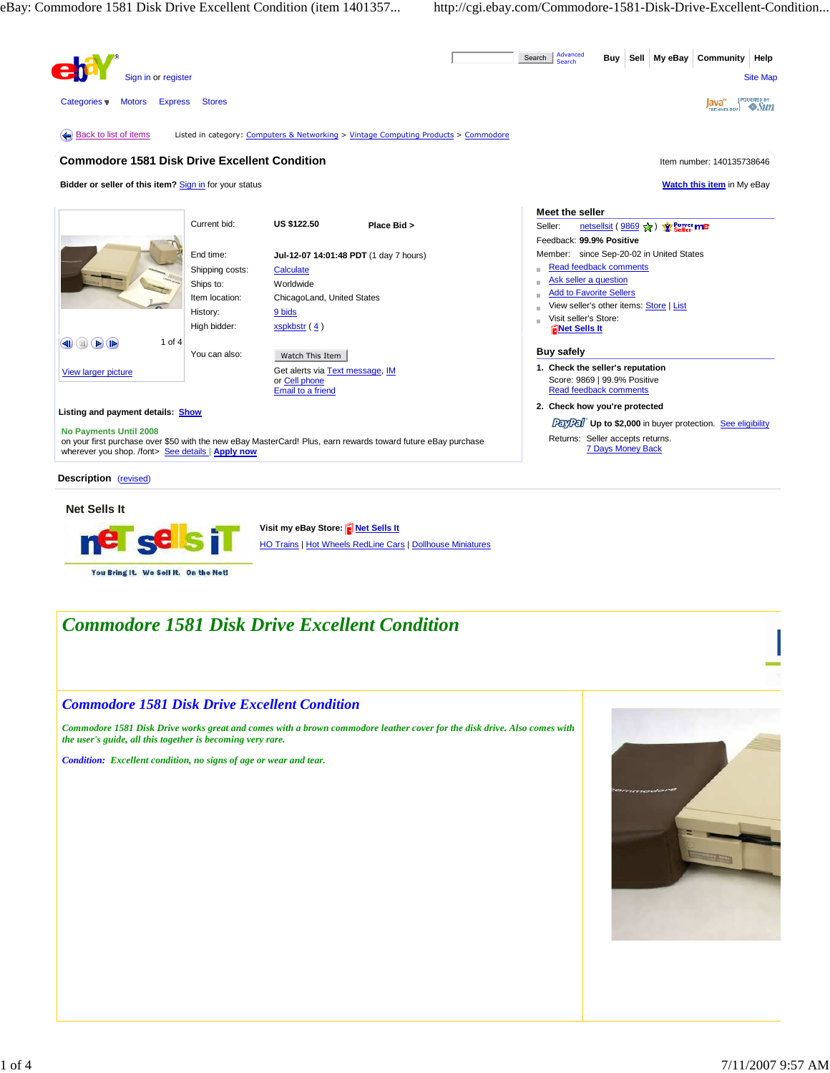

# *Commodore 1581 Disk Drive Excellent Condition*

*Commodore 1581 Disk Drive Excellent Condition*

*Commodore 1581 Disk Drive works great and comes with a brown commodore leather cover for the disk drive. Also comes with the user's guide, all this together is becoming very rare.*

*Condition: Excellent condition, no signs of age or wear and tear.*

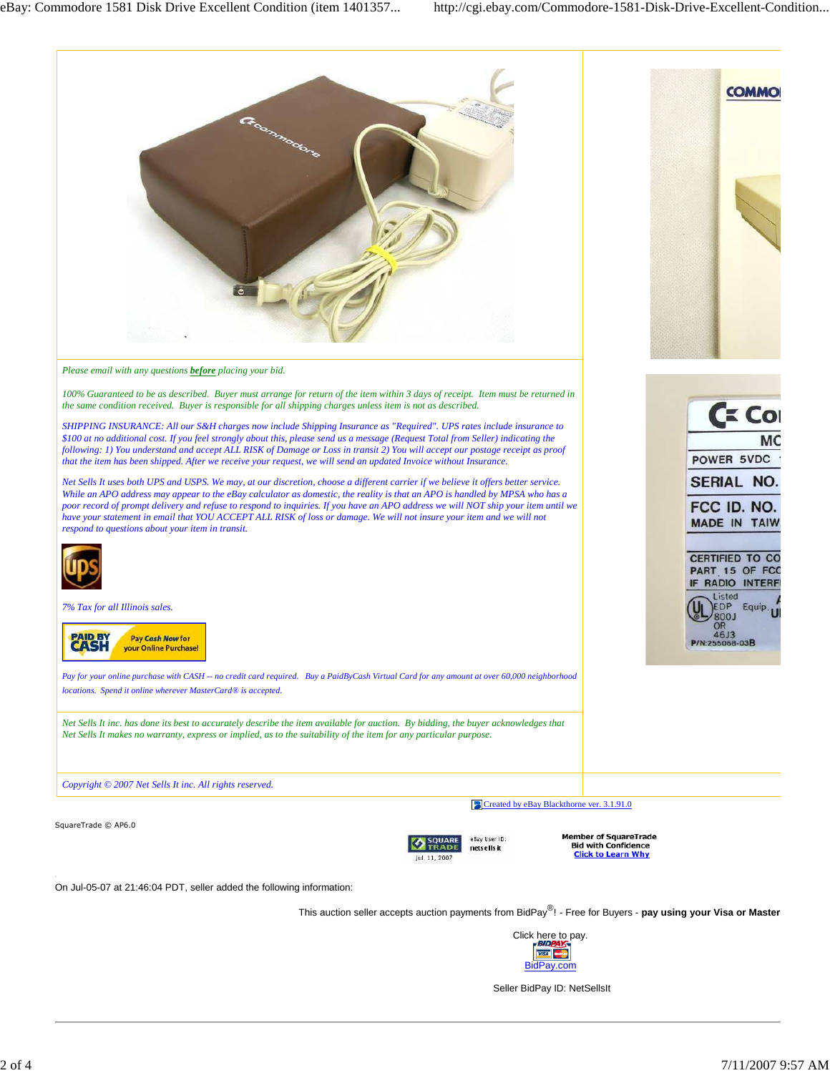

This auction seller accepts auction payments from BidPay<sup>®</sup>! - Free for Buyers - **pay using your Visa or Master** 



Seller BidPay ID: NetSellsIt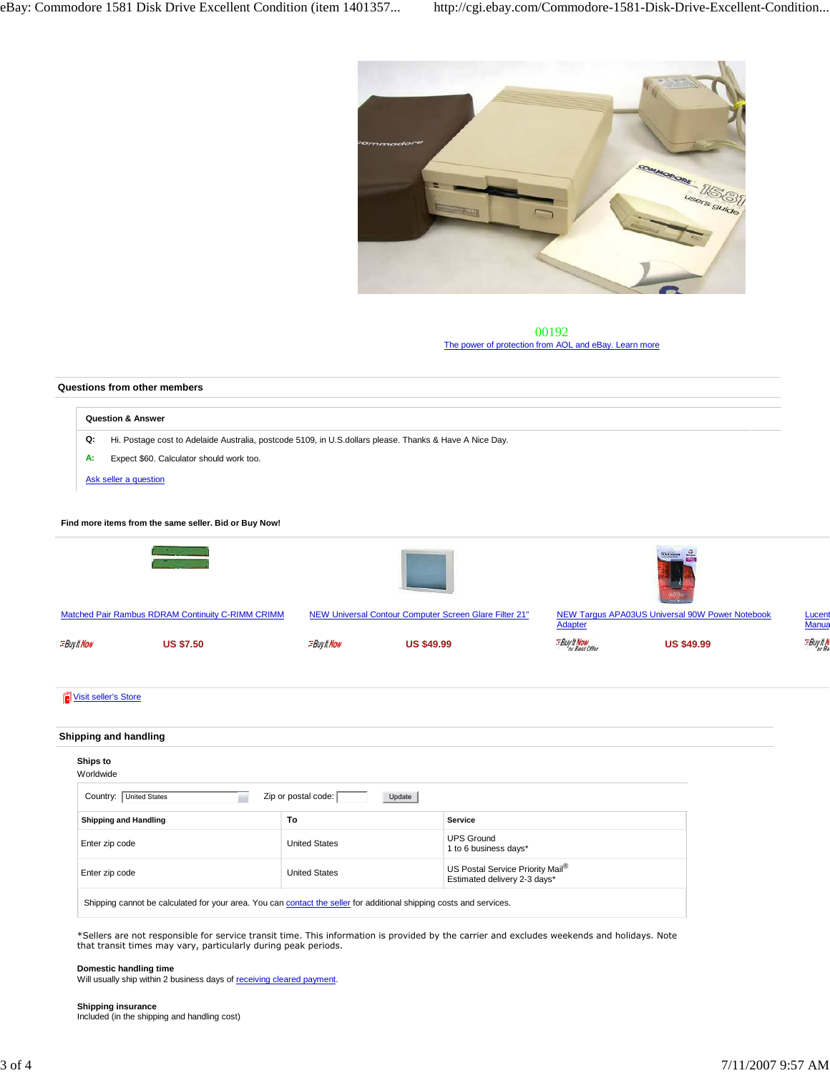

00192 The power of protection from AOL and eBay. Learn more

## **Questions from other members Question & Answer Q:** Hi. Postage cost to Adelaide Australia, postcode 5109, in U.S.dollars please. Thanks & Have A Nice Day. **A:** Expect \$60. Calculator should work too. Ask seller a question **Find more items from the same seller. Bid or Buy Now!** Matched Pair Rambus RDRAM Continuity C-RIMM CRIMM NEW Universal Contour Computer Screen Glare Filter 21" NEW Targus APA03US Universal 90W Power Notebook **Adapter EBuy It Now US \$7.50 EBuy It Now US \$49.99** EBuy It Now **US \$49.99** Visit seller's Store **Shipping and handling Ships to** Worldwide Country: United States Zip or postal code: Update **Shipping and Handling <b>To To Service Service** Enter zip code UPS Ground United States UPS Ground UPS Ground 1 to 6 business days\* Enter zip code US Postal Service Priority Mail® Estimated delivery 2-3 days\* Shipping cannot be calculated for your area. You can **contact the seller** for additional shipping costs and services. \*Sellers are not responsible for service transit time. This information is provided by the carrier and excludes weekends and holidays. Note that transit times may vary, particularly during peak periods.

**Domestic handling time**

Will usually ship within 2 business days of receiving cleared payment.

**Shipping insurance**

Included (in the shipping and handling cost)

Lucent

Manua

**EBuy It N**